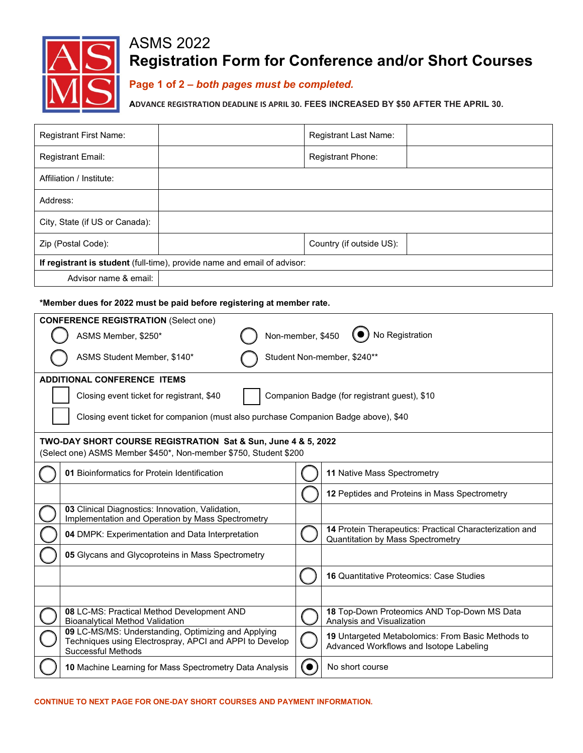

# ASMS 2022 **Registration Form for Conference and/or Short Courses**

**Page 1 of 2 –** *both pages must be completed.*

**ADVANCE REGISTRATION DEADLINE IS APRIL 30. FEES INCREASED BY \$50 AFTER THE APRIL 30.**

| <b>Registrant First Name:</b>                                                                                                        |                                                                               |  | Registrant Last Name:                                                                        |  |  |  |
|--------------------------------------------------------------------------------------------------------------------------------------|-------------------------------------------------------------------------------|--|----------------------------------------------------------------------------------------------|--|--|--|
| Registrant Email:                                                                                                                    |                                                                               |  | Registrant Phone:                                                                            |  |  |  |
| Affiliation / Institute:                                                                                                             |                                                                               |  |                                                                                              |  |  |  |
| Address:                                                                                                                             |                                                                               |  |                                                                                              |  |  |  |
| City, State (if US or Canada):                                                                                                       |                                                                               |  |                                                                                              |  |  |  |
| Zip (Postal Code):                                                                                                                   |                                                                               |  | Country (if outside US):                                                                     |  |  |  |
| If registrant is student (full-time), provide name and email of advisor:                                                             |                                                                               |  |                                                                                              |  |  |  |
| Advisor name & email:                                                                                                                |                                                                               |  |                                                                                              |  |  |  |
|                                                                                                                                      |                                                                               |  |                                                                                              |  |  |  |
| *Member dues for 2022 must be paid before registering at member rate.                                                                |                                                                               |  |                                                                                              |  |  |  |
| <b>CONFERENCE REGISTRATION (Select one)</b>                                                                                          |                                                                               |  |                                                                                              |  |  |  |
| ASMS Member, \$250*                                                                                                                  | Non-member, \$450                                                             |  | No Registration                                                                              |  |  |  |
| Student Non-member, \$240**<br>ASMS Student Member, \$140*                                                                           |                                                                               |  |                                                                                              |  |  |  |
| <b>ADDITIONAL CONFERENCE ITEMS</b>                                                                                                   |                                                                               |  |                                                                                              |  |  |  |
| Closing event ticket for registrant, \$40                                                                                            |                                                                               |  | Companion Badge (for registrant guest), \$10                                                 |  |  |  |
|                                                                                                                                      |                                                                               |  |                                                                                              |  |  |  |
| Closing event ticket for companion (must also purchase Companion Badge above), \$40                                                  |                                                                               |  |                                                                                              |  |  |  |
| TWO-DAY SHORT COURSE REGISTRATION Sat & Sun, June 4 & 5, 2022                                                                        |                                                                               |  |                                                                                              |  |  |  |
| (Select one) ASMS Member \$450*, Non-member \$750, Student \$200                                                                     |                                                                               |  |                                                                                              |  |  |  |
| 01 Bioinformatics for Protein Identification                                                                                         |                                                                               |  | 11 Native Mass Spectrometry                                                                  |  |  |  |
|                                                                                                                                      |                                                                               |  | 12 Peptides and Proteins in Mass Spectrometry                                                |  |  |  |
| 03 Clinical Diagnostics: Innovation, Validation,<br>Implementation and Operation by Mass Spectrometry                                |                                                                               |  |                                                                                              |  |  |  |
| 04 DMPK: Experimentation and Data Interpretation                                                                                     |                                                                               |  | 14 Protein Therapeutics: Practical Characterization and<br>Quantitation by Mass Spectrometry |  |  |  |
| 05 Glycans and Glycoproteins in Mass Spectrometry                                                                                    |                                                                               |  |                                                                                              |  |  |  |
|                                                                                                                                      |                                                                               |  | <b>16 Quantitative Proteomics: Case Studies</b>                                              |  |  |  |
|                                                                                                                                      |                                                                               |  |                                                                                              |  |  |  |
|                                                                                                                                      | 08 LC-MS: Practical Method Development AND<br>Bioanalytical Method Validation |  | 18 Top-Down Proteomics AND Top-Down MS Data<br>Analysis and Visualization                    |  |  |  |
| 09 LC-MS/MS: Understanding, Optimizing and Applying<br>Techniques using Electrospray, APCI and APPI to Develop<br>Successful Methods |                                                                               |  | 19 Untargeted Metabolomics: From Basic Methods to<br>Advanced Workflows and Isotope Labeling |  |  |  |
|                                                                                                                                      | 10 Machine Learning for Mass Spectrometry Data Analysis                       |  | No short course                                                                              |  |  |  |